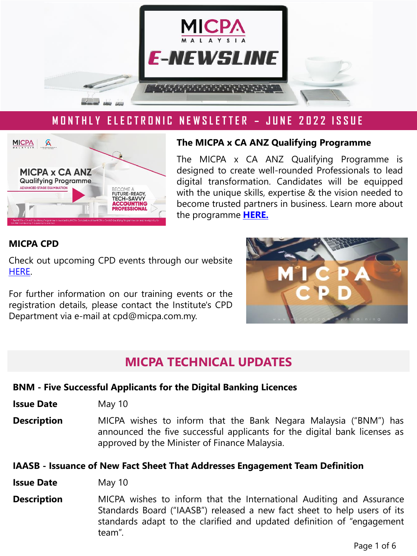

## **M O N T H L Y E L E C T R O N I C N E W S L E T T E R – J U N E 2 0 2 2 I S S U E**



#### **The MICPA x CA ANZ Qualifying Programme**

The MICPA x CA ANZ Qualifying Programme is designed to create well-rounded Professionals to lead digital transformation. Candidates will be equipped with the unique skills, expertise & the vision needed to become trusted partners in business. Learn more about the programme **[HERE.](https://www.micpa.com.my/the-micpa-programme/advanced-stage/)**

### **MICPA CPD**

Check out upcoming CPD events through our website [HERE](http://www.micpa.com.my/calendar/training).

For further information on our training events or the registration details, please contact the Institute's CPD Department via e-mail at cpd@micpa.com.my.



## **MICPA TECHNICAL UPDATES**

#### **BNM - Five Successful Applicants for the Digital Banking Licences**

- **Issue Date** May 10
- **Description** MICPA wishes to inform that the Bank Negara Malaysia ("BNM") has announced the five successful applicants for the digital bank licenses as approved by the Minister of Finance Malaysia.

#### **IAASB - Issuance of New Fact Sheet That Addresses Engagement Team Definition**

- **Issue Date** May 10
- **Description** MICPA wishes to inform that the International Auditing and Assurance Standards Board ("IAASB") released a new fact sheet to help users of its standards adapt to the clarified and updated definition of "engagement team".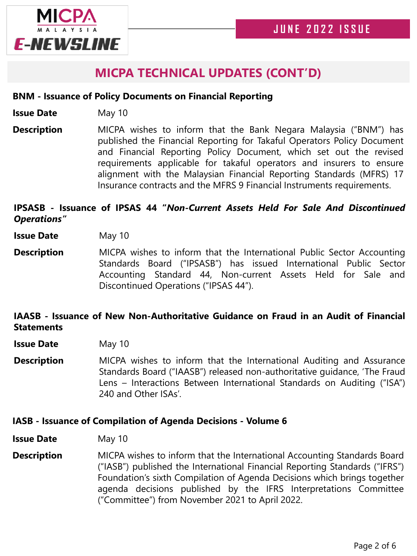

# **MICPA TECHNICAL UPDATES (CONT'D)**

#### **BNM - Issuance of Policy Documents on Financial Reporting**

- **Issue Date** May 10
- **Description** MICPA wishes to inform that the Bank Negara Malaysia ("BNM") has published the Financial Reporting for Takaful Operators Policy Document and Financial Reporting Policy Document, which set out the revised requirements applicable for takaful operators and insurers to ensure alignment with the Malaysian Financial Reporting Standards (MFRS) 17 Insurance contracts and the MFRS 9 Financial Instruments requirements.

## **IPSASB - Issuance of IPSAS 44 "***Non-Current Assets Held For Sale And Discontinued Operations"*

- **Issue Date** May 10
- **Description** MICPA wishes to inform that the International Public Sector Accounting Standards Board ("IPSASB") has issued International Public Sector Accounting Standard 44, Non-current Assets Held for Sale and Discontinued Operations ("IPSAS 44").

## **IAASB - Issuance of New Non-Authoritative Guidance on Fraud in an Audit of Financial Statements**

- **Issue Date** May 10
- **Description** MICPA wishes to inform that the International Auditing and Assurance Standards Board ("IAASB") released non-authoritative guidance, 'The Fraud Lens – Interactions Between International Standards on Auditing ("ISA") 240 and Other ISAs'.

#### **IASB - Issuance of Compilation of Agenda Decisions - Volume 6**

**Issue Date** May 10

**Description** MICPA wishes to inform that the International Accounting Standards Board ("IASB") published the International Financial Reporting Standards ("IFRS") Foundation's sixth Compilation of Agenda Decisions which brings together agenda decisions published by the IFRS Interpretations Committee ("Committee") from November 2021 to April 2022.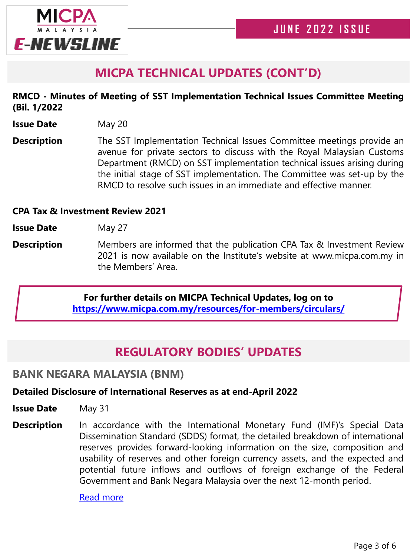

# **MICPA TECHNICAL UPDATES (CONT'D)**

## **RMCD - Minutes of Meeting of SST Implementation Technical Issues Committee Meeting (Bil. 1/2022**

- **Issue Date** May 20
- **Description** The SST Implementation Technical Issues Committee meetings provide an avenue for private sectors to discuss with the Royal Malaysian Customs Department (RMCD) on SST implementation technical issues arising during the initial stage of SST implementation. The Committee was set-up by the RMCD to resolve such issues in an immediate and effective manner.

### **CPA Tax & Investment Review 2021**

**Issue Date** May 27

**Description** Members are informed that the publication CPA Tax & Investment Review 2021 is now available on the Institute's website at www.micpa.com.my in the Members' Area.

### **For further details on MICPA Technical Updates, log on to <https://www.micpa.com.my/resources/for-members/circulars/>**

# **REGULATORY BODIES' UPDATES**

## **BANK NEGARA MALAYSIA (BNM)**

### **Detailed Disclosure of International Reserves as at end-April 2022**

- **Issue Date** May 31
- **Description** In accordance with the International Monetary Fund (IMF)'s Special Data Dissemination Standard (SDDS) format, the detailed breakdown of international reserves provides forward-looking information on the size, composition and usability of reserves and other foreign currency assets, and the expected and potential future inflows and outflows of foreign exchange of the Federal Government and Bank Negara Malaysia over the next 12-month period.

Read [more](https://www.bnm.gov.my/-/detailed-disclosure-of-international-reserves-as-at-end-april-2022-1)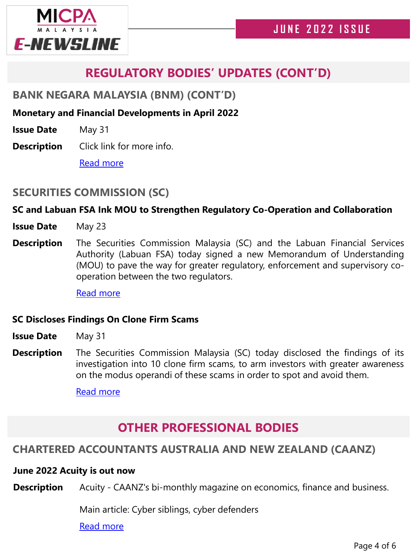

# **REGULATORY BODIES' UPDATES (CONT'D)**

## **BANK NEGARA MALAYSIA (BNM) (CONT'D)**

### **Monetary and Financial Developments in April 2022**

**Issue Date** May 31

**Description** Click link for more info.

Read [more](https://www.bnm.gov.my/-/monetary-and-financial-developments-in-april-2022)

## **SECURITIES COMMISSION (SC)**

## **SC and Labuan FSA Ink MOU to Strengthen Regulatory Co-Operation and Collaboration**

- **Issue Date** May 23
- **Description** The Securities Commission Malaysia (SC) and the Labuan Financial Services Authority (Labuan FSA) today signed a new Memorandum of Understanding (MOU) to pave the way for greater regulatory, enforcement and supervisory cooperation between the two regulators.

Read [more](https://www.sc.com.my/resources/media/media-release/sc-and-labuan-fsa-ink-mou-to-strengthen-regulatory-co-operation-and-collaboration)

### **SC Discloses Findings On Clone Firm Scams**

- **Issue Date** May 31
- **Description** The Securities Commission Malaysia (SC) today disclosed the findings of its investigation into 10 clone firm scams, to arm investors with greater awareness on the modus operandi of these scams in order to spot and avoid them.

Read [more](https://www.sc.com.my/resources/media/media-release/sc-discloses-findings-on-clone-firm-scams)

# **OTHER PROFESSIONAL BODIES**

## **CHARTERED ACCOUNTANTS AUSTRALIA AND NEW ZEALAND (CAANZ)**

#### **June 2022 Acuity is out now**

**Description** Acuity - CAANZ's bi-monthly magazine on economics, finance and business.

Main article: Cyber siblings, cyber defenders

Read [more](https://www.acuitymag.com/)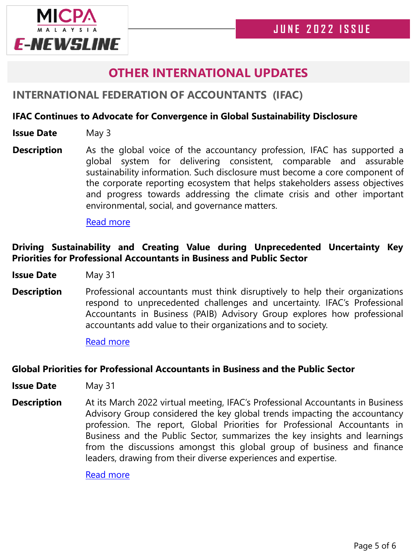

# **OTHER INTERNATIONAL UPDATES**

## **INTERNATIONAL FEDERATION OF ACCOUNTANTS (IFAC)**

### **IFAC Continues to Advocate for Convergence in Global Sustainability Disclosure**

- **Issue Date** May 3
- **Description** As the global voice of the accountancy profession, IFAC has supported a global system for delivering consistent, comparable and assurable sustainability information. Such disclosure must become a core component of the corporate reporting ecosystem that helps stakeholders assess objectives and progress towards addressing the climate crisis and other important environmental, social, and governance matters.

#### Read [more](https://www.ifac.org/news-events/2022-05/ifac-continues-advocate-convergence-global-sustainability-disclosure)

## **Driving Sustainability and Creating Value during Unprecedented Uncertainty Key Priorities for Professional Accountants in Business and Public Sector**

**Issue Date** May 31

**Description** Professional accountants must think disruptively to help their organizations respond to unprecedented challenges and uncertainty. IFAC's Professional Accountants in Business (PAIB) Advisory Group explores how professional accountants add value to their organizations and to society.

Read [more](https://www.ifac.org/news-events/2022-05/driving-sustainability-and-creating-value-during-unprecedented-uncertainty-key-priorities)

#### **Global Priorities for Professional Accountants in Business and the Public Sector**

- **Issue Date** May 31
- **Description** At its March 2022 virtual meeting, IFAC's Professional Accountants in Business Advisory Group considered the key global trends impacting the accountancy profession. The report, Global Priorities for Professional Accountants in Business and the Public Sector, summarizes the key insights and learnings from the discussions amongst this global group of business and finance leaders, drawing from their diverse experiences and expertise.

Read [more](https://www.ifac.org/knowledge-gateway/preparing-future-ready-professionals/discussion/global-priorities-professional-accountants-business-and-public-sector)